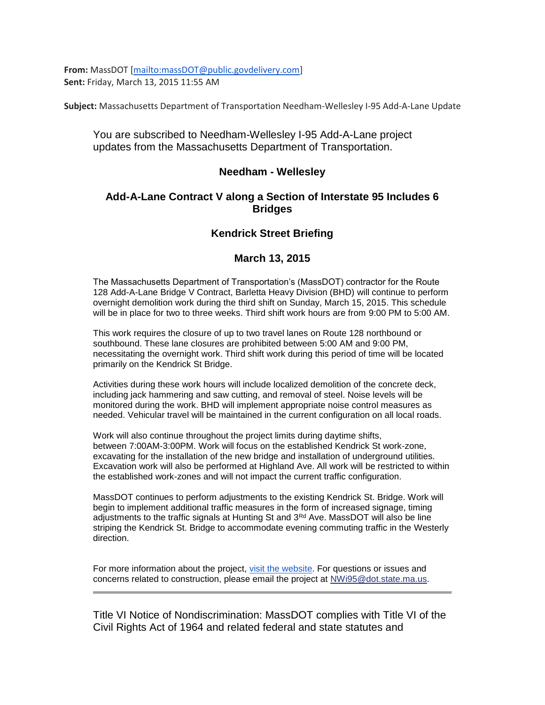**From:** MassDOT [\[mailto:massDOT@public.govdelivery.com\]](mailto:massDOT@public.govdelivery.com) **Sent:** Friday, March 13, 2015 11:55 AM

**Subject:** Massachusetts Department of Transportation Needham-Wellesley I-95 Add-A-Lane Update

## You are subscribed to Needham-Wellesley I-95 Add-A-Lane project updates from the Massachusetts Department of Transportation.

### **Needham - Wellesley**

## **Add-A-Lane Contract V along a Section of Interstate 95 Includes 6 Bridges**

# **Kendrick Street Briefing**

### **March 13, 2015**

The Massachusetts Department of Transportation's (MassDOT) contractor for the Route 128 Add-A-Lane Bridge V Contract, Barletta Heavy Division (BHD) will continue to perform overnight demolition work during the third shift on Sunday, March 15, 2015. This schedule will be in place for two to three weeks. Third shift work hours are from 9:00 PM to 5:00 AM.

This work requires the closure of up to two travel lanes on Route 128 northbound or southbound. These lane closures are prohibited between 5:00 AM and 9:00 PM, necessitating the overnight work. Third shift work during this period of time will be located primarily on the Kendrick St Bridge.

Activities during these work hours will include localized demolition of the concrete deck, including jack hammering and saw cutting, and removal of steel. Noise levels will be monitored during the work. BHD will implement appropriate noise control measures as needed. Vehicular travel will be maintained in the current configuration on all local roads.

Work will also continue throughout the project limits during daytime shifts, between 7:00AM-3:00PM. Work will focus on the established Kendrick St work-zone, excavating for the installation of the new bridge and installation of underground utilities. Excavation work will also be performed at Highland Ave. All work will be restricted to within the established work-zones and will not impact the current traffic configuration.

MassDOT continues to perform adjustments to the existing Kendrick St. Bridge. Work will begin to implement additional traffic measures in the form of increased signage, timing adjustments to the traffic signals at Hunting St and  $3<sup>rd</sup>$  Ave. MassDOT will also be line striping the Kendrick St. Bridge to accommodate evening commuting traffic in the Westerly direction.

For more information about the project, [visit the website.](http://links.govdelivery.com/track?type=click&enid=ZWFzPTEmbWFpbGluZ2lkPTIwMTUwMzEzLjQyODUxODUxJm1lc3NhZ2VpZD1NREItUFJELUJVTC0yMDE1MDMxMy40Mjg1MTg1MSZkYXRhYmFzZWlkPTEwMDEmc2VyaWFsPTE3NDEwMzExJmVtYWlsaWQ9cnJjZXhlY0ByZWd1bGF0b3J5cmVzZWFyY2guY29tJnVzZXJpZD1ycmNleGVjQHJlZ3VsYXRvcnlyZXNlYXJjaC5jb20mZmw9JmV4dHJhPU11bHRpdmFyaWF0ZUlkPSYmJg==&&&101&&&http://www.massdot.state.ma.us/highway/HighlightedProjects/NeedhamWellesleyI95AddALane.aspx) For questions or issues and concerns related to construction, please email the project at [NWi95@dot.state.ma.us.](mailto:NWi95@dot.state.ma.us)

Title VI Notice of Nondiscrimination: MassDOT complies with Title VI of the Civil Rights Act of 1964 and related federal and state statutes and